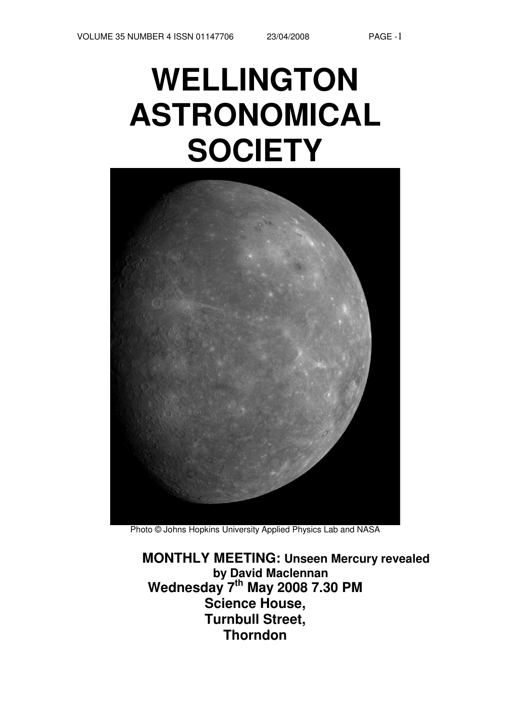# **WELLINGTON ASTRONOMICAL SOCIETY**



Photo © Johns Hopkins University Applied Physics Lab and NASA

**MONTHLY MEETING: Unseen Mercury revealed by David Maclennan Wednesday 7 th May 2008 7.30 PM Science House, Turnbull Street, Thorndon**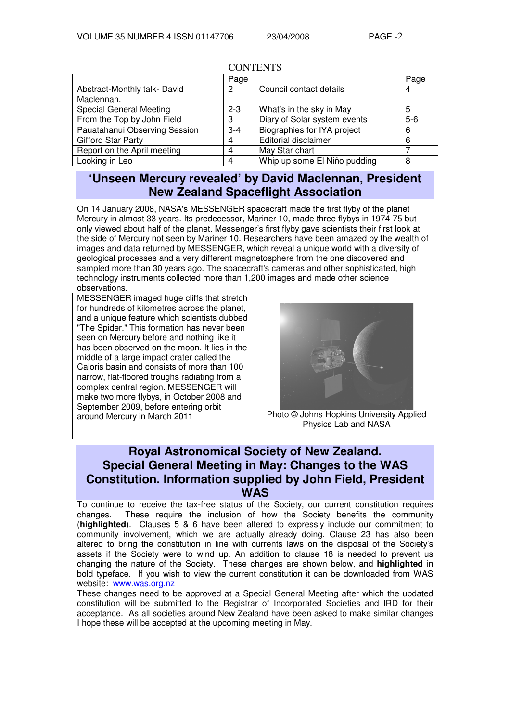|                                | Page    |                              | Page  |  |  |  |
|--------------------------------|---------|------------------------------|-------|--|--|--|
| Abstract-Monthly talk-David    | 2       | Council contact details      | 4     |  |  |  |
| Maclennan.                     |         |                              |       |  |  |  |
| <b>Special General Meeting</b> | $2 - 3$ | What's in the sky in May     | 5     |  |  |  |
| From the Top by John Field     | З       | Diary of Solar system events | $5-6$ |  |  |  |
| Pauatahanui Observing Session  | $3 - 4$ | Biographies for IYA project  | 6     |  |  |  |
| <b>Gifford Star Party</b>      | 4       | <b>Editorial disclaimer</b>  | 6     |  |  |  |
| Report on the April meeting    |         | May Star chart               |       |  |  |  |
| Looking in Leo                 | 4       | Whip up some El Niño pudding | 8     |  |  |  |

## **CONTENTS**

# **'Unseen Mercury revealed' by David Maclennan, President New Zealand Spaceflight Association**

On 14 January 2008, NASA's MESSENGER spacecraft made the first flyby of the planet Mercury in almost 33 years. Its predecessor, Mariner 10, made three flybys in 1974-75 but only viewed about half of the planet. Messenger's first flyby gave scientists their first look at the side of Mercury not seen by Mariner 10. Researchers have been amazed by the wealth of images and data returned by MESSENGER, which reveal a unique world with a diversity of geological processes and a very different magnetosphere from the one discovered and sampled more than 30 years ago. The spacecraft's cameras and other sophisticated, high technology instruments collected more than 1,200 images and made other science observations.

MESSENGER imaged huge cliffs that stretch for hundreds of kilometres across the planet, and a unique feature which scientists dubbed "The Spider." This formation has never been seen on Mercury before and nothing like it has been observed on the moon. It lies in the middle of a large impact crater called the Caloris basin and consists of more than 100 narrow, flat-floored troughs radiating from a complex central region. MESSENGER will make two more flybys, in October 2008 and September 2009, before entering orbit around Mercury in March 2011 Photo © Johns Hopkins University Applied



Physics Lab and NASA

# **Royal Astronomical Society of New Zealand. Special General Meeting in May: Changes to the WAS Constitution. Information supplied by John Field, President WAS**

To continue to receive the tax-free status of the Society, our current constitution requires changes. These require the inclusion of how the Society benefits the community (**highlighted**). Clauses 5 & 6 have been altered to expressly include our commitment to community involvement, which we are actually already doing. Clause 23 has also been altered to bring the constitution in line with currents laws on the disposal of the Society's assets if the Society were to wind up. An addition to clause 18 is needed to prevent us changing the nature of the Society. These changes are shown below, and **highlighted** in bold typeface. If you wish to view the current constitution it can be downloaded from WAS website: www.was.org.nz

These changes need to be approved at a Special General Meeting after which the updated constitution will be submitted to the Registrar of Incorporated Societies and IRD for their acceptance. As all societies around New Zealand have been asked to make similar changes I hope these will be accepted at the upcoming meeting in May.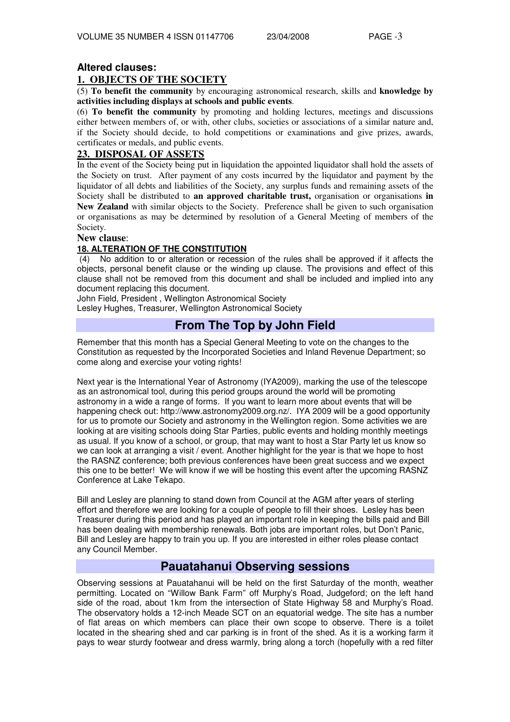## **Altered clauses:**

## **1. OBJECTS OF THE SOCIETY**

(5) **To benefit the community** by encouraging astronomical research, skills and **knowledge by activities including displays at schools and public events**.

(6) **To benefit the community** by promoting and holding lectures, meetings and discussions either between members of, or with, other clubs, societies or associations of a similar nature and, if the Society should decide, to hold competitions or examinations and give prizes, awards, certificates or medals, and public events.

## **23. DISPOSAL OF ASSETS**

In the event of the Society being put in liquidation the appointed liquidator shall hold the assets of the Society on trust. After payment of any costs incurred by the liquidator and payment by the liquidator of all debts and liabilities of the Society, any surplus funds and remaining assets of the Society shall be distributed to **an approved charitable trust,** organisation or organisations **in New Zealand** with similar objects to the Society. Preference shall be given to such organisation or organisations as may be determined by resolution of a General Meeting of members of the Society.

#### **New clause**:

## **18. ALTERATION OF THE CONSTITUTION**

(4) No addition to or alteration or recession of the rules shall be approved if it affects the objects, personal benefit clause or the winding up clause. The provisions and effect of this clause shall not be removed from this document and shall be included and implied into any document replacing this document.

John Field, President , Wellington Astronomical Society

Lesley Hughes, Treasurer, Wellington Astronomical Society

# **From The Top by John Field**

Remember that this month has a Special General Meeting to vote on the changes to the Constitution as requested by the Incorporated Societies and Inland Revenue Department; so come along and exercise your voting rights!

Next year is the International Year of Astronomy (IYA2009), marking the use of the telescope as an astronomical tool, during this period groups around the world will be promoting astronomy in a wide a range of forms. If you want to learn more about events that will be happening check out: http://www.astronomy2009.org.nz/. IYA 2009 will be a good opportunity for us to promote our Society and astronomy in the Wellington region. Some activities we are looking at are visiting schools doing Star Parties, public events and holding monthly meetings as usual. If you know of a school, or group, that may want to host a Star Party let us know so we can look at arranging a visit / event. Another highlight for the year is that we hope to host the RASNZ conference; both previous conferences have been great success and we expect this one to be better! We will know if we will be hosting this event after the upcoming RASNZ Conference at Lake Tekapo.

Bill and Lesley are planning to stand down from Council at the AGM after years of sterling effort and therefore we are looking for a couple of people to fill their shoes. Lesley has been Treasurer during this period and has played an important role in keeping the bills paid and Bill has been dealing with membership renewals. Both jobs are important roles, but Don't Panic, Bill and Lesley are happy to train you up. If you are interested in either roles please contact any Council Member.

## **Pauatahanui Observing sessions**

Observing sessions at Pauatahanui will be held on the first Saturday of the month, weather permitting. Located on "Willow Bank Farm" off Murphy's Road, Judgeford; on the left hand side of the road, about 1km from the intersection of State Highway 58 and Murphy's Road. The observatory holds a 12-inch Meade SCT on an equatorial wedge. The site has a number of flat areas on which members can place their own scope to observe. There is a toilet located in the shearing shed and car parking is in front of the shed. As it is a working farm it pays to wear sturdy footwear and dress warmly, bring along a torch (hopefully with a red filter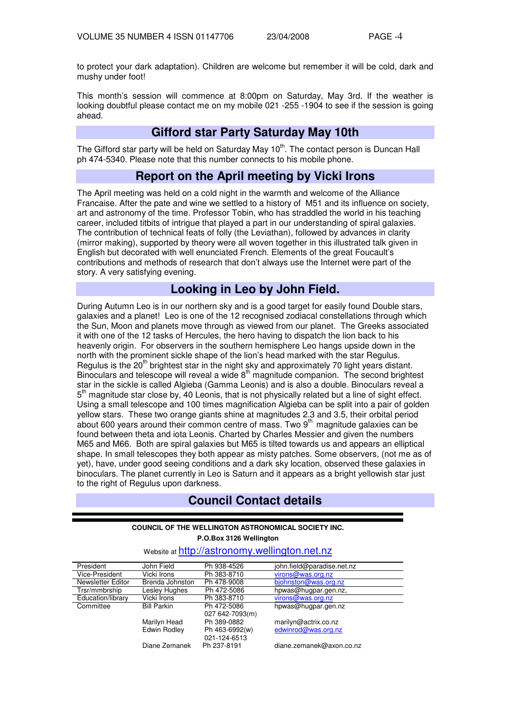to protect your dark adaptation). Children are welcome but remember it will be cold, dark and mushy under foot!

This month's session will commence at 8:00pm on Saturday, May 3rd. If the weather is looking doubtful please contact me on my mobile 021 -255 -1904 to see if the session is going ahead.

# **Gifford star Party Saturday May 10th**

The Gifford star party will be held on Saturday May 10<sup>th</sup>. The contact person is Duncan Hall ph 474-5340. Please note that this number connects to his mobile phone.

## **Report on the April meeting by Vicki Irons**

The April meeting was held on a cold night in the warmth and welcome of the Alliance Francaise. After the pate and wine we settled to a history of M51 and its influence on society, art and astronomy of the time. Professor Tobin, who has straddled the world in his teaching career, included titbits of intrigue that played a part in our understanding of spiral galaxies. The contribution of technical feats of folly (the Leviathan), followed by advances in clarity (mirror making), supported by theory were all woven together in this illustrated talk given in English but decorated with well enunciated French. Elements of the great Foucault's contributions and methods of research that don't always use the Internet were part of the story. A very satisfying evening.

## **Looking in Leo by John Field.**

During Autumn Leo is in our northern sky and is a good target for easily found Double stars, galaxies and a planet! Leo is one of the 12 recognised zodiacal constellations through which the Sun, Moon and planets move through as viewed from our planet. The Greeks associated it with one of the 12 tasks of Hercules, the hero having to dispatch the lion back to his heavenly origin. For observers in the southern hemisphere Leo hangs upside down in the north with the prominent sickle shape of the lion's head marked with the star Regulus. Regulus is the 20<sup>th</sup> brightest star in the night sky and approximately 70 light years distant. Binoculars and telescope will reveal a wide 8th magnitude companion. The second brightest star in the sickle is called Algieba (Gamma Leonis) and is also a double. Binoculars reveal a 5<sup>th</sup> magnitude star close by, 40 Leonis, that is not physically related but a line of sight effect. Using a small telescope and 100 times magnification Algieba can be split into a pair of golden yellow stars. These two orange giants shine at magnitudes 2.3 and 3.5, their orbital period about 600 years around their common centre of mass. Two  $9<sup>th</sup>$  magnitude galaxies can be found between theta and iota Leonis. Charted by Charles Messier and given the numbers M65 and M66. Both are spiral galaxies but M65 is tilted towards us and appears an elliptical shape. In small telescopes they both appear as misty patches. Some observers, (not me as of yet), have, under good seeing conditions and a dark sky location, observed these galaxies in binoculars. The planet currently in Leo is Saturn and it appears as a bright yellowish star just to the right of Regulus upon darkness.

# **Council Contact details**

#### **COUNCIL OF THE WELLINGTON ASTRONOMICAL SOCIETY INC. P.O.Box 3126 Wellington**

| President         | John Field         | Ph 938-4526     | john.field@paradise.net.nz |
|-------------------|--------------------|-----------------|----------------------------|
| Vice-President    | Vicki Irons        | Ph 383-8710     | virons@was.org.nz          |
| Newsletter Editor | Brenda Johnston    | Ph 478-9008     | biohnston@was.org.nz       |
| Trsr/mmbrship     | Lesley Hughes      | Ph 472-5086     | hpwas@hugpar.gen.nz,       |
| Education/library | Vicki Irons        | Ph 383-8710     | virons@was.org.nz          |
| Committee         | <b>Bill Parkin</b> | Ph 472-5086     | hpwas@hugpar.gen.nz        |
|                   |                    | 027 642-7093(m) |                            |
|                   | Marilyn Head       | Ph 389-0882     | marilyn@actrix.co.nz       |
|                   | Edwin Rodley       | Ph 463-6992(w)  | edwinrod@was.org.nz        |
|                   |                    | 021-124-6513    |                            |
|                   | Diane Zemanek      | Ph 237-8191     | diane.zemanek@axon.co.nz   |

## Website at http://astronomy.wellington.net.nz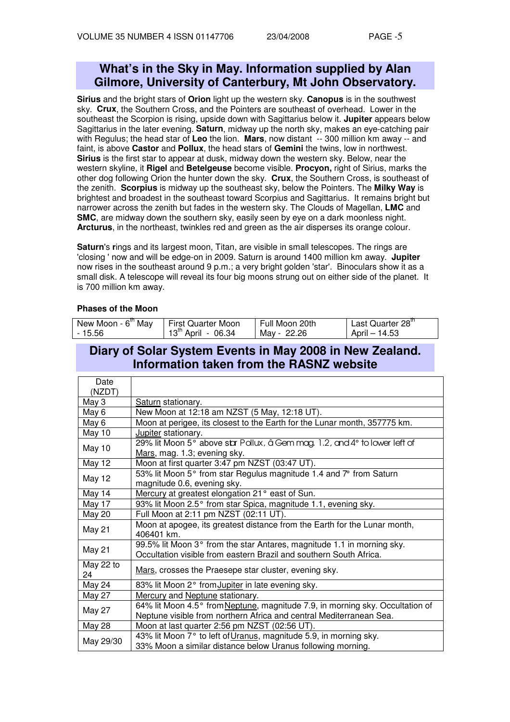# **What's in the Sky in May. Information supplied by Alan Gilmore, University of Canterbury, Mt John Observatory.**

**Sirius** and the bright stars of **Orion** light up the western sky. **Canopus** is in the southwest sky. **Crux**, the Southern Cross, and the Pointers are southeast of overhead. Lower in the southeast the Scorpion is rising, upside down with Sagittarius below it. **Jupiter** appears below Sagittarius in the later evening. **Saturn**, midway up the north sky, makes an eye-catching pair with Regulus; the head star of **Leo** the lion. **Mars**, now distant -- 300 million km away -- and faint, is above **Castor** and **Pollux**, the head stars of **Gemini** the twins, low in northwest. **Sirius** is the first star to appear at dusk, midway down the western sky. Below, near the western skyline, it **Rigel** and **Betelgeuse** become visible. **Procyon,** right of Sirius, marks the other dog following Orion the hunter down the sky. **Crux**, the Southern Cross, is southeast of the zenith. **Scorpius** is midway up the southeast sky, below the Pointers. The **Milky Way** is brightest and broadest in the southeast toward Scorpius and Sagittarius. It remains bright but narrower across the zenith but fades in the western sky. The Clouds of Magellan, **LMC** and **SMC**, are midway down the southern sky, easily seen by eye on a dark moonless night. **Arcturus**, in the northeast, twinkles red and green as the air disperses its orange colour.

**Saturn's rings and its largest moon, Titan, are visible in small telescopes. The rings are** 'closing ' now and will be edge-on in 2009. Saturn is around 1400 million km away. **Jupiter** now rises in the southeast around 9 p.m.; a very bright golden 'star'. Binoculars show it as a small disk. A telescope will reveal its four big moons strung out on either side of the planet. It is 700 million km away.

#### **Phases of the Moon**

| New Moon - 6 <sup>th</sup> May | First Quarter Moon      | Full Moon 20th | Last Quarter 28 <sup>th</sup> |
|--------------------------------|-------------------------|----------------|-------------------------------|
| - 15.56                        | $13^{th}$ April - 06.34 | May - 22.26    | April - 14.53                 |

## **Diary of Solar System Events in May 2008 in New Zealand. Information taken from the RASNZ website**

| Date<br>(NZDT)  |                                                                                                                                              |
|-----------------|----------------------------------------------------------------------------------------------------------------------------------------------|
| May 3           | Saturn stationary.                                                                                                                           |
| May 6           | New Moon at 12:18 am NZST (5 May, 12:18 UT).                                                                                                 |
|                 |                                                                                                                                              |
| May 6           | Moon at perigee, its closest to the Earth for the Lunar month, 357775 km.                                                                    |
| May 10          | Jupiter stationary.                                                                                                                          |
| May 10          | 29% lit Moon 5° above star Pollux, â Gem mag. 1.2, and 4° to lower left of<br>Mars, mag. 1.3; evening sky.                                   |
| May 12          | Moon at first quarter 3:47 pm NZST (03:47 UT).                                                                                               |
| <b>May 12</b>   | 53% lit Moon 5° from star Regulus magnitude 1.4 and 7° from Saturn<br>magnitude 0.6, evening sky.                                            |
| May 14          | Mercury at greatest elongation 21° east of Sun.                                                                                              |
| May 17          | 93% lit Moon 2.5° from star Spica, magnitude 1.1, evening sky.                                                                               |
| May 20          | Full Moon at 2:11 pm NZST (02:11 UT).                                                                                                        |
| <b>May 21</b>   | Moon at apogee, its greatest distance from the Earth for the Lunar month,<br>406401 km.                                                      |
| <b>May 21</b>   | 99.5% lit Moon 3° from the star Antares, magnitude 1.1 in morning sky.<br>Occultation visible from eastern Brazil and southern South Africa. |
| May 22 to<br>24 | Mars, crosses the Praesepe star cluster, evening sky.                                                                                        |
| May 24          | 83% lit Moon 2° from Jupiter in late evening sky.                                                                                            |
| May 27          | Mercury and Neptune stationary.                                                                                                              |
| May 27          | 64% lit Moon 4.5° from Neptune, magnitude 7.9, in morning sky. Occultation of                                                                |
|                 | Neptune visible from northern Africa and central Mediterranean Sea.                                                                          |
| May 28          | Moon at last quarter 2:56 pm NZST (02:56 UT).                                                                                                |
| May 29/30       | 43% lit Moon 7° to left of Uranus, magnitude 5.9, in morning sky.                                                                            |
|                 | 33% Moon a similar distance below Uranus following morning.                                                                                  |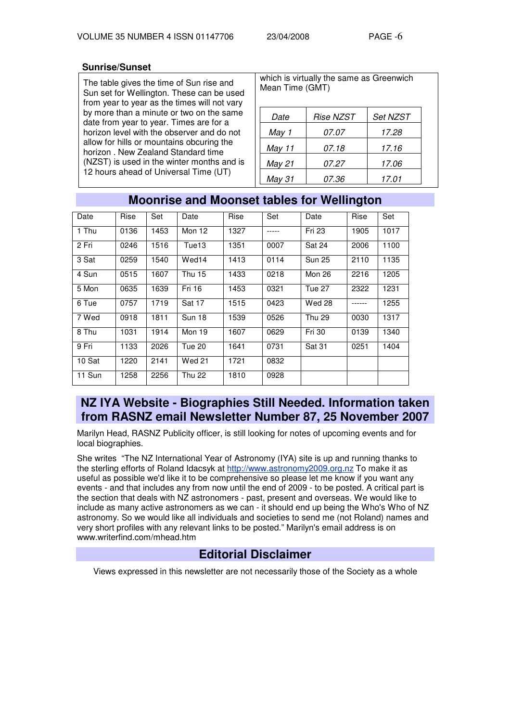## **Sunrise/Sunset**

The table gives the time of Sun rise and Sun set for Wellington. These can be used from year to year as the times will not vary by more than a minute or two on the same date from year to year. Times are for a horizon level with the observer and do not allow for hills or mountains obcuring the horizon . New Zealand Standard time (NZST) is used in the winter months and is 12 hours ahead of Universal Time (UT)

|                 | which is virtually the same as Greenwich |  |
|-----------------|------------------------------------------|--|
| Mean Time (GMT) |                                          |  |

| Date   | Rise NZST    | <b>Set NZST</b> |
|--------|--------------|-----------------|
| May 1  | <i>07.07</i> | 17.28           |
| May 11 | 07.18        | 17.16           |
| May 21 | <i>07.27</i> | 17.06           |
| May 31 | <i>07.36</i> | 17.01           |

| Date   | Rise | Set  | Date          | Rise | Set  | Date          | Rise     | Set  |
|--------|------|------|---------------|------|------|---------------|----------|------|
| 1 Thu  | 0136 | 1453 | Mon 12        | 1327 |      | Fri 23        | 1905     | 1017 |
| 2 Fri  | 0246 | 1516 | Tue13         | 1351 | 0007 | Sat 24        | 2006     | 1100 |
| 3 Sat  | 0259 | 1540 | Wed14         | 1413 | 0114 | <b>Sun 25</b> | 2110     | 1135 |
| 4 Sun  | 0515 | 1607 | <b>Thu 15</b> | 1433 | 0218 | Mon 26        | 2216     | 1205 |
| 5 Mon  | 0635 | 1639 | Fri 16        | 1453 | 0321 | Tue 27        | 2322     | 1231 |
| 6 Tue  | 0757 | 1719 | Sat 17        | 1515 | 0423 | Wed 28        | $-----1$ | 1255 |
| 7 Wed  | 0918 | 1811 | Sun 18        | 1539 | 0526 | <b>Thu 29</b> | 0030     | 1317 |
| 8 Thu  | 1031 | 1914 | Mon 19        | 1607 | 0629 | <b>Fri 30</b> | 0139     | 1340 |
| 9 Fri  | 1133 | 2026 | Tue 20        | 1641 | 0731 | Sat 31        | 0251     | 1404 |
| 10 Sat | 1220 | 2141 | <b>Wed 21</b> | 1721 | 0832 |               |          |      |
| 11 Sun | 1258 | 2256 | <b>Thu 22</b> | 1810 | 0928 |               |          |      |

# **Moonrise and Moonset tables for Wellington**

# **NZ IYA Website - Biographies Still Needed. Information taken from RASNZ email Newsletter Number 87, 25 November 2007**

Marilyn Head, RASNZ Publicity officer, is still looking for notes of upcoming events and for local biographies.

She writes "The NZ International Year of Astronomy (IYA) site is up and running thanks to the sterling efforts of Roland Idacsyk at http://www.astronomy2009.org.nz To make it as useful as possible we'd like it to be comprehensive so please let me know if you want any events - and that includes any from now until the end of 2009 - to be posted. A critical part is the section that deals with NZ astronomers - past, present and overseas. We would like to include as many active astronomers as we can - it should end up being the Who's Who of NZ astronomy. So we would like all individuals and societies to send me (not Roland) names and very short profiles with any relevant links to be posted." Marilyn's email address is on www.writerfind.com/mhead.htm

# **Editorial Disclaimer**

Views expressed in this newsletter are not necessarily those of the Society as a whole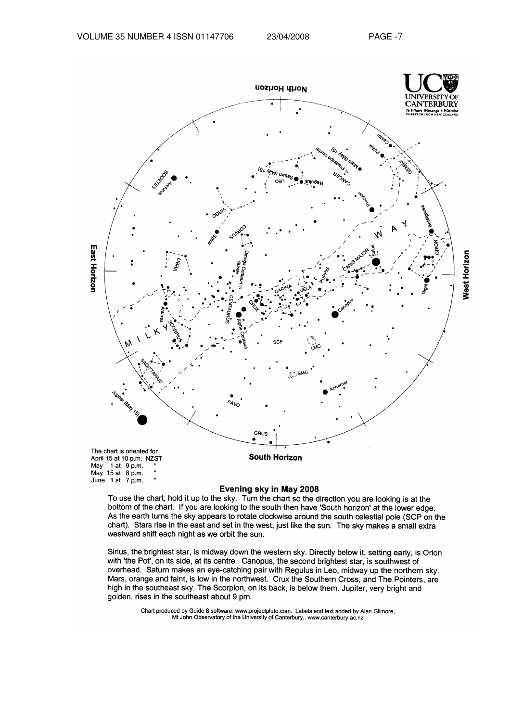

#### Evening sky in May 2008

To use the chart, hold it up to the sky. Turn the chart so the direction you are looking is at the bottom of the chart. If you are looking to the south then have 'South horizon' at the lower edge. As the earth turns the sky appears to rotate clockwise around the south celestial pole (SCP on the chart). Stars rise in the east and set in the west, just like the sun. The sky makes a small extra westward shift each night as we orbit the sun.

Sirius, the brightest star, is midway down the western sky. Directly below it, setting early, is Orion with 'the Pot', on its side, at its centre. Canopus, the second brightest star, is southwest of overhead. Saturn makes an eye-catching pair with Regulus in Leo, midway up the northern sky. Mars, orange and faint, is low in the northwest. Crux the Southern Cross, and The Pointers, are high in the southeast sky. The Scorpion, on its back, is below them. Jupiter, very bright and golden, rises in the southeast about 9 pm.

Chart produced by Guide 8 software; www.projectpluto.com. Labels and text added by Alan Gilmore, Mt John Observatory of the University of Canterbury.. www.canterbury.ac.nz